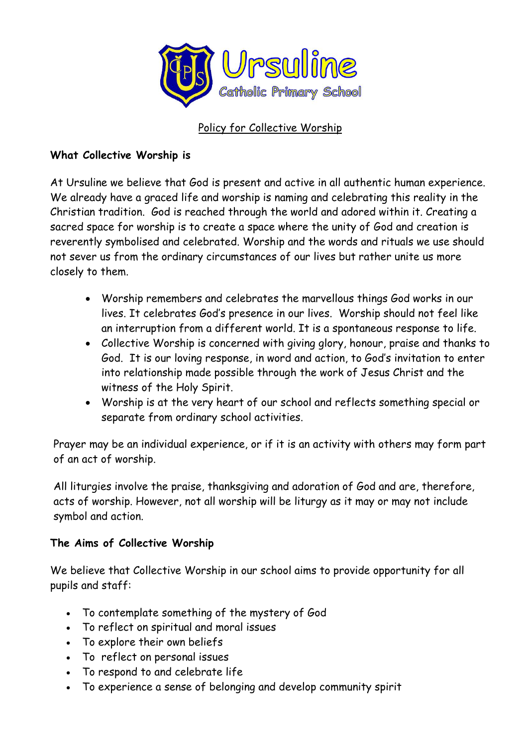

### Policy for Collective Worship

#### **What Collective Worship is**

At Ursuline we believe that God is present and active in all authentic human experience. We already have a graced life and worship is naming and celebrating this reality in the Christian tradition. God is reached through the world and adored within it. Creating a sacred space for worship is to create a space where the unity of God and creation is reverently symbolised and celebrated. Worship and the words and rituals we use should not sever us from the ordinary circumstances of our lives but rather unite us more closely to them.

- Worship remembers and celebrates the marvellous things God works in our lives. It celebrates God's presence in our lives. Worship should not feel like an interruption from a different world. It is a spontaneous response to life.
- Collective Worship is concerned with giving glory, honour, praise and thanks to God. It is our loving response, in word and action, to God's invitation to enter into relationship made possible through the work of Jesus Christ and the witness of the Holy Spirit.
- Worship is at the very heart of our school and reflects something special or separate from ordinary school activities.

Prayer may be an individual experience, or if it is an activity with others may form part of an act of worship.

All liturgies involve the praise, thanksgiving and adoration of God and are, therefore, acts of worship. However, not all worship will be liturgy as it may or may not include symbol and action.

#### **The Aims of Collective Worship**

We believe that Collective Worship in our school aims to provide opportunity for all pupils and staff:

- To contemplate something of the mystery of God
- To reflect on spiritual and moral issues
- To explore their own beliefs
- To reflect on personal issues
- To respond to and celebrate life
- To experience a sense of belonging and develop community spirit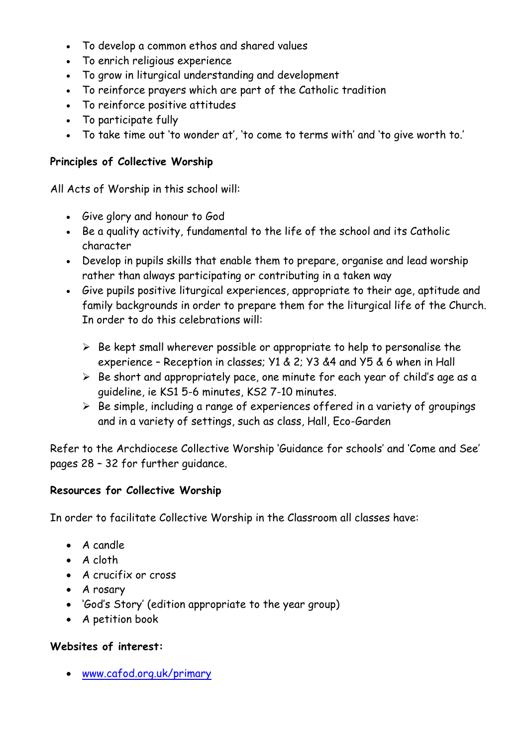- To develop a common ethos and shared values
- To enrich religious experience
- To grow in liturgical understanding and development
- To reinforce prayers which are part of the Catholic tradition
- To reinforce positive attitudes
- To participate fully
- To take time out 'to wonder at', 'to come to terms with' and 'to give worth to.'

# **Principles of Collective Worship**

All Acts of Worship in this school will:

- Give glory and honour to God
- Be a quality activity, fundamental to the life of the school and its Catholic character
- Develop in pupils skills that enable them to prepare, organise and lead worship rather than always participating or contributing in a taken way
- Give pupils positive liturgical experiences, appropriate to their age, aptitude and family backgrounds in order to prepare them for the liturgical life of the Church. In order to do this celebrations will:
	- $\triangleright$  Be kept small wherever possible or appropriate to help to personalise the experience – Reception in classes; Y1 & 2; Y3 &4 and Y5 & 6 when in Hall
	- $\triangleright$  Be short and appropriately pace, one minute for each year of child's age as a guideline, ie KS1 5-6 minutes, KS2 7-10 minutes.
	- $\triangleright$  Be simple, including a range of experiences offered in a variety of groupings and in a variety of settings, such as class, Hall, Eco-Garden

Refer to the Archdiocese Collective Worship 'Guidance for schools' and 'Come and See' pages 28 – 32 for further guidance.

#### **Resources for Collective Worship**

In order to facilitate Collective Worship in the Classroom all classes have:

- $\bullet$  A candle
- $\bullet$  A cloth
- A crucifix or cross
- A rosary
- 'God's Story' (edition appropriate to the year group)
- A petition book

# **Websites of interest:**

[www.cafod.org.uk/primary](http://www.cafod.org.uk/primary)